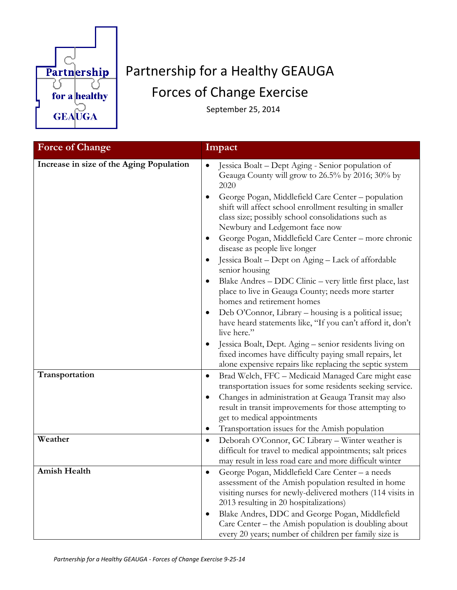

## Partnership for a Healthy GEAUGA Forces of Change Exercise

September 25, 2014

| <b>Force of Change</b>                   | Impact                                                                                                                                                                                                                                                                                                                                                                                                                                                                                                                                                                                                                                                                                                                                                                                                                                                                                                                                                                 |
|------------------------------------------|------------------------------------------------------------------------------------------------------------------------------------------------------------------------------------------------------------------------------------------------------------------------------------------------------------------------------------------------------------------------------------------------------------------------------------------------------------------------------------------------------------------------------------------------------------------------------------------------------------------------------------------------------------------------------------------------------------------------------------------------------------------------------------------------------------------------------------------------------------------------------------------------------------------------------------------------------------------------|
| Increase in size of the Aging Population | Jessica Boalt - Dept Aging - Senior population of<br>$\bullet$<br>Geauga County will grow to 26.5% by 2016; 30% by<br>2020<br>George Pogan, Middlefield Care Center - population<br>$\bullet$<br>shift will affect school enrollment resulting in smaller<br>class size; possibly school consolidations such as<br>Newbury and Ledgemont face now<br>George Pogan, Middlefield Care Center - more chronic<br>disease as people live longer<br>Jessica Boalt – Dept on Aging – Lack of affordable<br>senior housing<br>Blake Andres - DDC Clinic - very little first place, last<br>$\bullet$<br>place to live in Geauga County; needs more starter<br>homes and retirement homes<br>Deb O'Connor, Library – housing is a political issue;<br>$\bullet$<br>have heard statements like, "If you can't afford it, don't<br>live here."<br>Jessica Boalt, Dept. Aging - senior residents living on<br>$\bullet$<br>fixed incomes have difficulty paying small repairs, let |
| Transportation                           | alone expensive repairs like replacing the septic system<br>Brad Welch, FFC - Medicaid Managed Care might ease<br>٠<br>transportation issues for some residents seeking service.<br>Changes in administration at Geauga Transit may also<br>$\bullet$<br>result in transit improvements for those attempting to<br>get to medical appointments<br>Transportation issues for the Amish population<br>$\bullet$                                                                                                                                                                                                                                                                                                                                                                                                                                                                                                                                                          |
| Weather                                  | Deborah O'Connor, GC Library - Winter weather is<br>$\bullet$<br>difficult for travel to medical appointments; salt prices<br>may result in less road care and more difficult winter                                                                                                                                                                                                                                                                                                                                                                                                                                                                                                                                                                                                                                                                                                                                                                                   |
| Amish Health                             | George Pogan, Middlefield Care Center - a needs<br>$\bullet$<br>assessment of the Amish population resulted in home<br>visiting nurses for newly-delivered mothers (114 visits in<br>2013 resulting in 20 hospitalizations)<br>Blake Andres, DDC and George Pogan, Middlefield<br>$\bullet$<br>Care Center – the Amish population is doubling about<br>every 20 years; number of children per family size is                                                                                                                                                                                                                                                                                                                                                                                                                                                                                                                                                           |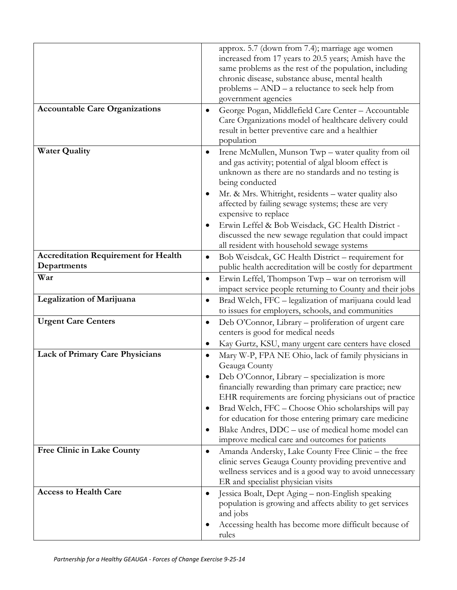|                                             | approx. 5.7 (down from 7.4); marriage age women<br>increased from 17 years to 20.5 years; Amish have the                                                                                           |
|---------------------------------------------|----------------------------------------------------------------------------------------------------------------------------------------------------------------------------------------------------|
|                                             | same problems as the rest of the population, including<br>chronic disease, substance abuse, mental health                                                                                          |
|                                             | problems $-$ AND $-$ a reluctance to seek help from                                                                                                                                                |
|                                             | government agencies                                                                                                                                                                                |
| <b>Accountable Care Organizations</b>       | George Pogan, Middlefield Care Center - Accountable<br>٠<br>Care Organizations model of healthcare delivery could<br>result in better preventive care and a healthier                              |
|                                             | population                                                                                                                                                                                         |
| <b>Water Quality</b>                        | Irene McMullen, Munson Twp - water quality from oil<br>$\bullet$<br>and gas activity; potential of algal bloom effect is<br>unknown as there are no standards and no testing is<br>being conducted |
|                                             | Mr. & Mrs. Whitright, residents - water quality also<br>٠<br>affected by failing sewage systems; these are very<br>expensive to replace                                                            |
|                                             | Erwin Leffel & Bob Weisdack, GC Health District -<br>$\bullet$<br>discussed the new sewage regulation that could impact<br>all resident with household sewage systems                              |
| <b>Accreditation Requirement for Health</b> | Bob Weisdcak, GC Health District - requirement for<br>$\bullet$                                                                                                                                    |
| Departments                                 | public health accreditation will be costly for department                                                                                                                                          |
| War                                         | Erwin Leffel, Thompson Twp - war on terrorism will<br>$\bullet$<br>impact service people returning to County and their jobs                                                                        |
| Legalization of Marijuana                   | Brad Welch, FFC - legalization of marijuana could lead<br>$\bullet$<br>to issues for employers, schools, and communities                                                                           |
| <b>Urgent Care Centers</b>                  | Deb O'Connor, Library – proliferation of urgent care<br>$\bullet$<br>centers is good for medical needs                                                                                             |
|                                             | Kay Gurtz, KSU, many urgent care centers have closed<br>$\bullet$                                                                                                                                  |
| <b>Lack of Primary Care Physicians</b>      | Mary W-P, FPA NE Ohio, lack of family physicians in<br>$\bullet$<br>Geauga County                                                                                                                  |
|                                             | Deb O'Connor, Library - specialization is more                                                                                                                                                     |
|                                             | financially rewarding than primary care practice; new<br>EHR requirements are forcing physicians out of practice                                                                                   |
|                                             | Brad Welch, FFC - Choose Ohio scholarships will pay<br>$\bullet$                                                                                                                                   |
|                                             | for education for those entering primary care medicine                                                                                                                                             |
|                                             | Blake Andres, DDC - use of medical home model can<br>$\bullet$<br>improve medical care and outcomes for patients                                                                                   |
| Free Clinic in Lake County                  | Amanda Andersky, Lake County Free Clinic - the free<br>$\bullet$                                                                                                                                   |
|                                             | clinic serves Geauga County providing preventive and                                                                                                                                               |
|                                             | wellness services and is a good way to avoid unnecessary<br>ER and specialist physician visits                                                                                                     |
| <b>Access to Health Care</b>                | Jessica Boalt, Dept Aging - non-English speaking<br>$\bullet$                                                                                                                                      |
|                                             | population is growing and affects ability to get services<br>and jobs                                                                                                                              |
|                                             | Accessing health has become more difficult because of                                                                                                                                              |
|                                             | rules                                                                                                                                                                                              |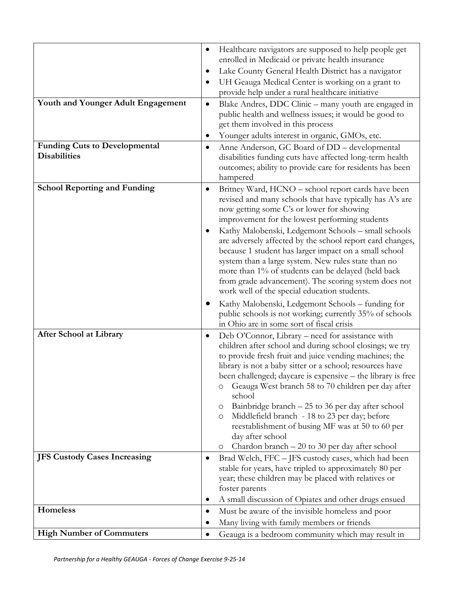|                                                             | Healthcare navigators are supposed to help people get<br>enrolled in Medicaid or private health insurance<br>Lake County General Health District has a navigator<br>٠                                                                                                                                                                                                                                                                                                                                                                                                                                                              |
|-------------------------------------------------------------|------------------------------------------------------------------------------------------------------------------------------------------------------------------------------------------------------------------------------------------------------------------------------------------------------------------------------------------------------------------------------------------------------------------------------------------------------------------------------------------------------------------------------------------------------------------------------------------------------------------------------------|
|                                                             | UH Geauga Medical Center is working on a grant to<br>provide help under a rural healthcare initiative                                                                                                                                                                                                                                                                                                                                                                                                                                                                                                                              |
| Youth and Younger Adult Engagement                          | Blake Andres, DDC Clinic – many youth are engaged in<br>$\bullet$<br>public health and wellness issues; it would be good to<br>get them involved in this process                                                                                                                                                                                                                                                                                                                                                                                                                                                                   |
|                                                             | Younger adults interest in organic, GMOs, etc.                                                                                                                                                                                                                                                                                                                                                                                                                                                                                                                                                                                     |
| <b>Funding Cuts to Developmental</b><br><b>Disabilities</b> | Anne Anderson, GC Board of DD - developmental<br>٠<br>disabilities funding cuts have affected long-term health<br>outcomes; ability to provide care for residents has been<br>hampered                                                                                                                                                                                                                                                                                                                                                                                                                                             |
| <b>School Reporting and Funding</b>                         | Britney Ward, HCNO - school report cards have been<br>٠<br>revised and many schools that have typically has A's are<br>now getting some C's or lower for showing<br>improvement for the lowest performing students<br>Kathy Malobenski, Ledgemont Schools - small schools<br>are adversely affected by the school report card changes,<br>because 1 student has larger impact on a small school<br>system than a large system. New rules state than no<br>more than 1% of students can be delayed (held back<br>from grade advancement). The scoring system does not<br>work well of the special education students.               |
|                                                             | Kathy Malobenski, Ledgemont Schools – funding for<br>public schools is not working; currently 35% of schools<br>in Ohio are in some sort of fiscal crisis                                                                                                                                                                                                                                                                                                                                                                                                                                                                          |
| <b>After School at Library</b>                              | Deb O'Connor, Library - need for assistance with<br>$\bullet$<br>children after school and during school closings; we try<br>to provide fresh fruit and juice vending machines; the<br>library is not a baby sitter or a school; resources have<br>been challenged; daycare is expensive - the library is free<br>Geauga West branch 58 to 70 children per day after<br>O<br>school<br>Bainbridge branch – 25 to 36 per day after school<br>O<br>Middlefield branch - 18 to 23 per day; before<br>O<br>reestablishment of busing MF was at 50 to 60 per<br>day after school<br>Chardon branch – 20 to 30 per day after school<br>O |
| <b>JFS Custody Cases Increasing</b>                         | Brad Welch, FFC - JFS custody cases, which had been<br>٠<br>stable for years, have tripled to approximately 80 per<br>year; these children may be placed with relatives or                                                                                                                                                                                                                                                                                                                                                                                                                                                         |
|                                                             | foster parents                                                                                                                                                                                                                                                                                                                                                                                                                                                                                                                                                                                                                     |
|                                                             | A small discussion of Opiates and other drugs ensued                                                                                                                                                                                                                                                                                                                                                                                                                                                                                                                                                                               |
| <b>Homeless</b>                                             | Must be aware of the invisible homeless and poor<br>٠<br>Many living with family members or friends                                                                                                                                                                                                                                                                                                                                                                                                                                                                                                                                |
| <b>High Number of Commuters</b>                             | Geauga is a bedroom community which may result in                                                                                                                                                                                                                                                                                                                                                                                                                                                                                                                                                                                  |